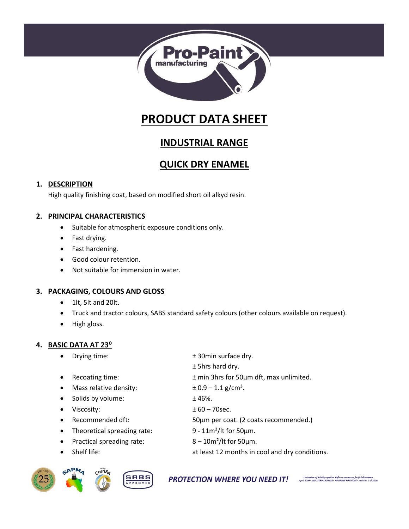

# **PRODUCT DATA SHEET**

## **INDUSTRIAL RANGE**

## **QUICK DRY ENAMEL**

#### **1. DESCRIPTION**

High quality finishing coat, based on modified short oil alkyd resin.

#### **2. PRINCIPAL CHARACTERISTICS**

- Suitable for atmospheric exposure conditions only.
- Fast drying.
- Fast hardening.
- Good colour retention.
- Not suitable for immersion in water.

#### **3. PACKAGING, COLOURS AND GLOSS**

- 1lt, 5lt and 20lt.
- Truck and tractor colours, SABS standard safety colours (other colours available on request).

± 5hrs hard dry.

• High gloss.

#### **4. BASIC DATA AT 23⁰**

- Drying time:  $\qquad \qquad \pm 30$ min surface dry.
- Recoating time: ± min 3hrs for 50µm dft, max unlimited.
- Mass relative density:  $\pm 0.9 1.1$  g/cm<sup>3</sup>.
- Solids by volume:  $\pm 46\%$ .
- Viscosity: ± 60 70sec.
- Recommended dft: 50µm per coat. (2 coats recommended.)
- Theoretical spreading rate:  $9 11m^2/lt$  for 50 $µm$ .
- Practical spreading rate:  $8 10m^2/lt$  for 50 $µm$ .
- Shelf life: at least 12 months in cool and dry conditions.

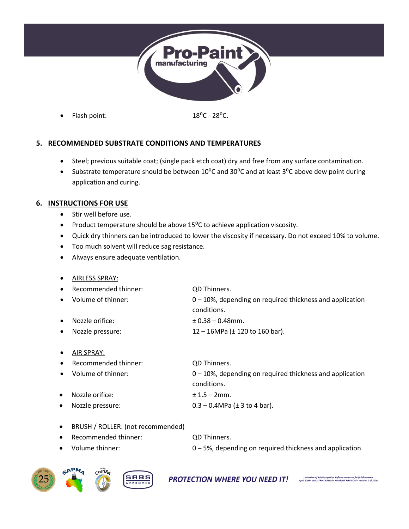

Flash point: 18<sup>o</sup>C - 28<sup>o</sup>C.

#### **5. RECOMMENDED SUBSTRATE CONDITIONS AND TEMPERATURES**

- Steel; previous suitable coat; (single pack etch coat) dry and free from any surface contamination.
- Substrate temperature should be between 10<sup>o</sup>C and 30<sup>o</sup>C and at least 3<sup>o</sup>C above dew point during application and curing.

#### **6. INSTRUCTIONS FOR USE**

- Stir well before use.
- Product temperature should be above 15<sup>o</sup>C to achieve application viscosity.
- Quick dry thinners can be introduced to lower the viscosity if necessary. Do not exceed 10% to volume.
- Too much solvent will reduce sag resistance.
- Always ensure adequate ventilation.

| $\bullet$ | <b>AIRLESS SPRAY:</b> |                                                                            |
|-----------|-----------------------|----------------------------------------------------------------------------|
| $\bullet$ | Recommended thinner:  | <b>QD Thinners.</b>                                                        |
| $\bullet$ | Volume of thinner:    | $0 - 10$ %, depending on required thickness and application<br>conditions. |
| $\bullet$ | Nozzle orifice:       | $± 0.38 - 0.48$ mm.                                                        |
| $\bullet$ | Nozzle pressure:      | 12 – 16MPa ( $\pm$ 120 to 160 bar).                                        |

• AIR SPRAY:

| Recommended thinner: | QD Thinners.                                                |
|----------------------|-------------------------------------------------------------|
| Volume of thinner:   | $0 - 10$ %, depending on required thickness and application |
|                      | conditions.                                                 |
| Nozzle orifice:      | $± 1.5 - 2mm.$                                              |

Nozzle pressure:  $0.3 - 0.4 MPa \left( \pm 3 \text{ to } 4 \text{ bar} \right)$ .

- BRUSH / ROLLER: (not recommended) Recommended thinner: QD Thinners.
	-
- Volume thinner:  $0 5%$ , depending on required thickness and application